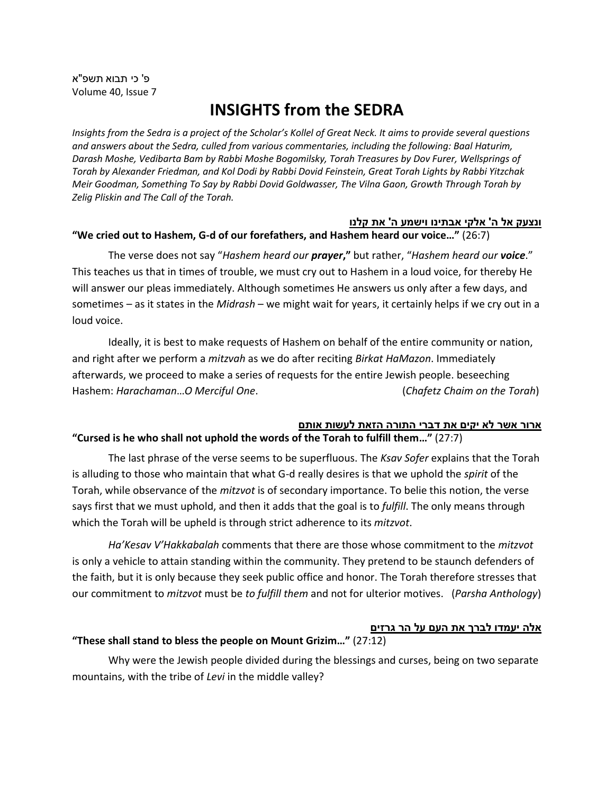פ' כי תבוא תשפ"א Volume 40, Issue 7

# **INSIGHTS from the SEDRA**

*Insights from the Sedra is a project of the Scholar's Kollel of Great Neck. It aims to provide several questions and answers about the Sedra, culled from various commentaries, including the following: Baal Haturim, Darash Moshe, Vedibarta Bam by Rabbi Moshe Bogomilsky, Torah Treasures by Dov Furer, Wellsprings of Torah by Alexander Friedman, and Kol Dodi by Rabbi Dovid Feinstein, Great Torah Lights by Rabbi Yitzchak Meir Goodman, Something To Say by Rabbi Dovid Goldwasser, The Vilna Gaon, Growth Through Torah by Zelig Pliskin and The Call of the Torah.*

#### **ונ צעק אל ה' אלקי אבתינו וישמע ה' א ת קלנו**

### **"We cried out to Hashem, G-d of our forefathers, and Hashem heard our voice…"** (26:7)

The verse does not say "*Hashem heard our prayer***,"** but rather, "*Hashem heard our voice*." This teaches us that in times of trouble, we must cry out to Hashem in a loud voice, for thereby He will answer our pleas immediately. Although sometimes He answers us only after a few days, and sometimes – as it states in the *Midrash* – we might wait for years, it certainly helps if we cry out in a loud voice.

Ideally, it is best to make requests of Hashem on behalf of the entire community or nation, and right after we perform a *mitzvah* as we do after reciting *Birkat HaMazon*. Immediately afterwards, we proceed to make a series of requests for the entire Jewish people. beseeching Hashem: *Harachaman*…*O Merciful One*. (*Chafetz Chaim on the Torah*)

#### **ארור אשר לא יקים את דברי התורה הזאת לעשות אותם "Cursed is he who shall not uphold the words of the Torah to fulfill them…"** (27:7)

The last phrase of the verse seems to be superfluous. The *Ksav Sofer* explains that the Torah is alluding to those who maintain that what G-d really desires is that we uphold the *spirit* of the Torah, while observance of the *mitzvot* is of secondary importance. To belie this notion, the verse says first that we must uphold, and then it adds that the goal is to *fulfill*. The only means through which the Torah will be upheld is through strict adherence to its *mitzvot*.

*Ha'Kesav V'Hakkabalah* comments that there are those whose commitment to the *mitzvot* is only a vehicle to attain standing within the community. They pretend to be staunch defenders of the faith, but it is only because they seek public office and honor. The Torah therefore stresses that our commitment to *mitzvot* must be *to fulfill them* and not for ulterior motives. (*Parsha Anthology*)

#### <u>אלה יעמדו לברך את העם על הר גרזים</u>

#### **"These shall stand to bless the people on Mount Grizim…"** (27:12)

Why were the Jewish people divided during the blessings and curses, being on two separate mountains, with the tribe of *Levi* in the middle valley?